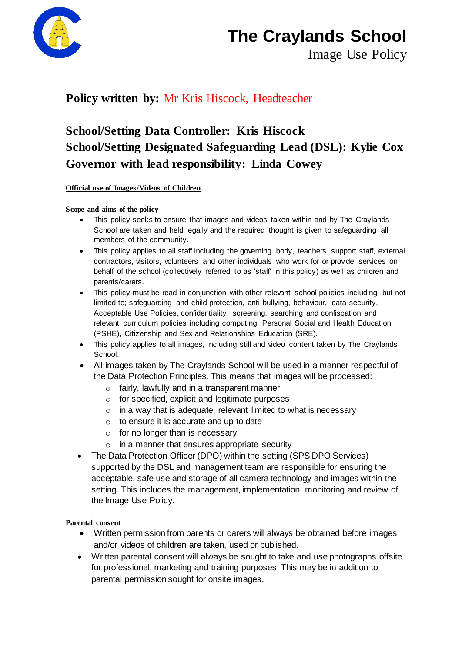

# **The Craylands School**

Image Use Policy

### **Policy written by:** Mr Kris Hiscock, Headteacher

### **School/Setting Data Controller: Kris Hiscock School/Setting Designated Safeguarding Lead (DSL): Kylie Cox Governor with lead responsibility: Linda Cowey**

**Official use of Images/Videos of Children** 

**Scope and aims of the policy**

- This policy seeks to ensure that images and videos taken within and by The Craylands School are taken and held legally and the required thought is given to safeguarding all members of the community.
- This policy applies to all staff including the governing body, teachers, support staff, external contractors, visitors, volunteers and other individuals who work for or provide services on behalf of the school (collectively referred to as 'staff' in this policy) as well as children and parents/carers.
- This policy must be read in conjunction with other relevant school policies including, but not limited to; safeguarding and child protection, anti-bullying, behaviour, data security, Acceptable Use Policies, confidentiality, screening, searching and confiscation and relevant curriculum policies including computing, Personal Social and Health Education (PSHE), Citizenship and Sex and Relationships Education (SRE).
- This policy applies to all images, including still and video content taken by The Craylands School.
- All images taken by The Craylands School will be used in a manner respectful of the Data Protection Principles. This means that images will be processed:
	- $\circ$  fairly, lawfully and in a transparent manner
	- o for specified, explicit and legitimate purposes
	- $\circ$  in a way that is adequate, relevant limited to what is necessary
	- $\circ$  to ensure it is accurate and up to date
	- $\circ$  for no longer than is necessary
	- o in a manner that ensures appropriate security
- The Data Protection Officer (DPO) within the setting (SPS DPO Services) supported by the DSL and management team are responsible for ensuring the acceptable, safe use and storage of all camera technology and images within the setting. This includes the management, implementation, monitoring and review of the Image Use Policy.

#### **Parental consent**

- Written permission from parents or carers will always be obtained before images and/or videos of children are taken, used or published.
- Written parental consent will always be sought to take and use photographs offsite for professional, marketing and training purposes. This may be in addition to parental permission sought for onsite images.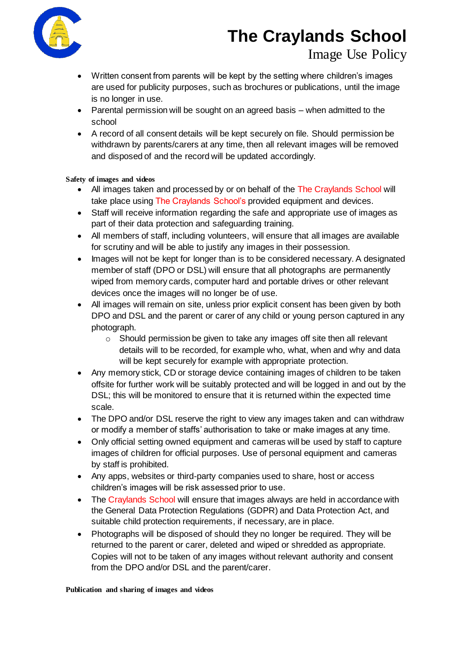

- Written consent from parents will be kept by the setting where children's images are used for publicity purposes, such as brochures or publications, until the image is no longer in use.
- Parental permission will be sought on an agreed basis when admitted to the school
- A record of all consent details will be kept securely on file. Should permission be withdrawn by parents/carers at any time, then all relevant images will be removed and disposed of and the record will be updated accordingly.

#### **Safety of images and videos**

- All images taken and processed by or on behalf of the The Craylands School will take place using The Craylands School's provided equipment and devices.
- Staff will receive information regarding the safe and appropriate use of images as part of their data protection and safeguarding training.
- All members of staff, including volunteers, will ensure that all images are available for scrutiny and will be able to justify any images in their possession.
- Images will not be kept for longer than is to be considered necessary. A designated member of staff (DPO or DSL) will ensure that all photographs are permanently wiped from memory cards, computer hard and portable drives or other relevant devices once the images will no longer be of use.
- All images will remain on site, unless prior explicit consent has been given by both DPO and DSL and the parent or carer of any child or young person captured in any photograph.
	- o Should permission be given to take any images off site then all relevant details will to be recorded, for example who, what, when and why and data will be kept securely for example with appropriate protection.
- Any memory stick, CD or storage device containing images of children to be taken offsite for further work will be suitably protected and will be logged in and out by the DSL; this will be monitored to ensure that it is returned within the expected time scale.
- The DPO and/or DSL reserve the right to view any images taken and can withdraw or modify a member of staffs' authorisation to take or make images at any time.
- Only official setting owned equipment and cameras will be used by staff to capture images of children for official purposes. Use of personal equipment and cameras by staff is prohibited.
- Any apps, websites or third-party companies used to share, host or access children's images will be risk assessed prior to use.
- The Craylands School will ensure that images always are held in accordance with the General Data Protection Regulations (GDPR) and Data Protection Act, and suitable child protection requirements, if necessary, are in place.
- Photographs will be disposed of should they no longer be required. They will be returned to the parent or carer, deleted and wiped or shredded as appropriate. Copies will not to be taken of any images without relevant authority and consent from the DPO and/or DSL and the parent/carer.

**Publication and sharing of images and videos**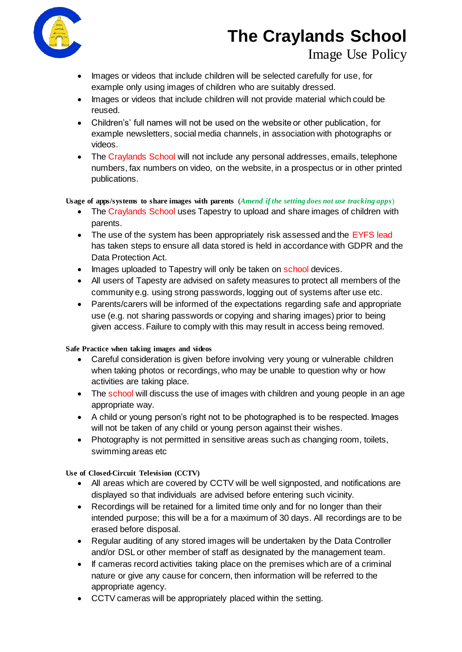

- Images or videos that include children will be selected carefully for use, for example only using images of children who are suitably dressed.
- Images or videos that include children will not provide material which could be reused.
- Children's' full names will not be used on the website or other publication, for example newsletters, social media channels, in association with photographs or videos.
- The Craylands School will not include any personal addresses, emails, telephone numbers, fax numbers on video, on the website, in a prospectus or in other printed publications.

**Usage of apps/systems to share images with parents** (*Amend if the setting does not use tracking apps*)

- The Craylands School uses Tapestry to upload and share images of children with parents.
- The use of the system has been appropriately risk assessed and the EYFS lead has taken steps to ensure all data stored is held in accordance with GDPR and the Data Protection Act.
- Images uploaded to Tapestry will only be taken on school devices.
- All users of Tapesty are advised on safety measures to protect all members of the community e.g. using strong passwords, logging out of systems after use etc.
- Parents/carers will be informed of the expectations regarding safe and appropriate use (e.g. not sharing passwords or copying and sharing images) prior to being given access. Failure to comply with this may result in access being removed.

#### **Safe Practice when taking images and videos**

- Careful consideration is given before involving very young or vulnerable children when taking photos or recordings, who may be unable to question why or how activities are taking place.
- The school will discuss the use of images with children and young people in an age appropriate way.
- A child or young person's right not to be photographed is to be respected. Images will not be taken of any child or young person against their wishes.
- Photography is not permitted in sensitive areas such as changing room, toilets, swimming areas etc

**Use of Closed-Circuit Television (CCTV)**

- All areas which are covered by CCTV will be well signposted, and notifications are displayed so that individuals are advised before entering such vicinity.
- Recordings will be retained for a limited time only and for no longer than their intended purpose; this will be a for a maximum of 30 days. All recordings are to be erased before disposal.
- Regular auditing of any stored images will be undertaken by the Data Controller and/or DSL or other member of staff as designated by the management team.
- If cameras record activities taking place on the premises which are of a criminal nature or give any cause for concern, then information will be referred to the appropriate agency.
- CCTV cameras will be appropriately placed within the setting.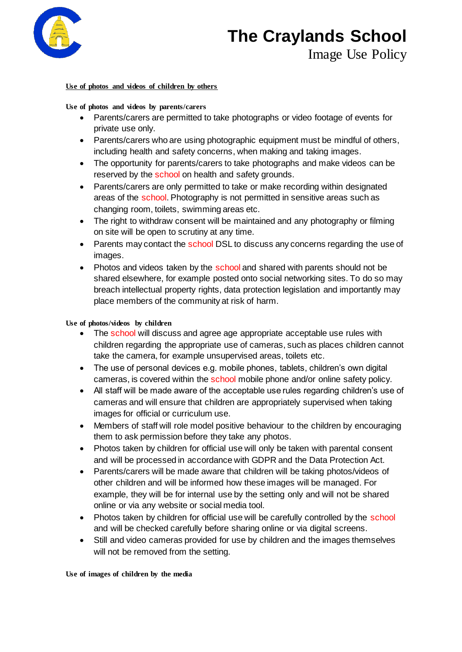

#### **Use of photos and videos of children by others**

#### **Use of photos and videos by parents/carers**

- Parents/carers are permitted to take photographs or video footage of events for private use only.
- Parents/carers who are using photographic equipment must be mindful of others, including health and safety concerns, when making and taking images.
- The opportunity for parents/carers to take photographs and make videos can be reserved by the school on health and safety grounds.
- Parents/carers are only permitted to take or make recording within designated areas of the school. Photography is not permitted in sensitive areas such as changing room, toilets, swimming areas etc.
- The right to withdraw consent will be maintained and any photography or filming on site will be open to scrutiny at any time.
- Parents may contact the school DSL to discuss any concerns regarding the use of images.
- Photos and videos taken by the school and shared with parents should not be shared elsewhere, for example posted onto social networking sites. To do so may breach intellectual property rights, data protection legislation and importantly may place members of the community at risk of harm.

#### **Use of photos/videos by children**

- The school will discuss and agree age appropriate acceptable use rules with children regarding the appropriate use of cameras, such as places children cannot take the camera, for example unsupervised areas, toilets etc.
- The use of personal devices e.g. mobile phones, tablets, children's own digital cameras, is covered within the school mobile phone and/or online safety policy.
- All staff will be made aware of the acceptable use rules regarding children's use of cameras and will ensure that children are appropriately supervised when taking images for official or curriculum use.
- Members of staff will role model positive behaviour to the children by encouraging them to ask permission before they take any photos.
- Photos taken by children for official use will only be taken with parental consent and will be processed in accordance with GDPR and the Data Protection Act.
- Parents/carers will be made aware that children will be taking photos/videos of other children and will be informed how these images will be managed. For example, they will be for internal use by the setting only and will not be shared online or via any website or social media tool.
- Photos taken by children for official use will be carefully controlled by the school and will be checked carefully before sharing online or via digital screens.
- Still and video cameras provided for use by children and the images themselves will not be removed from the setting.

**Use of images of children by the media**